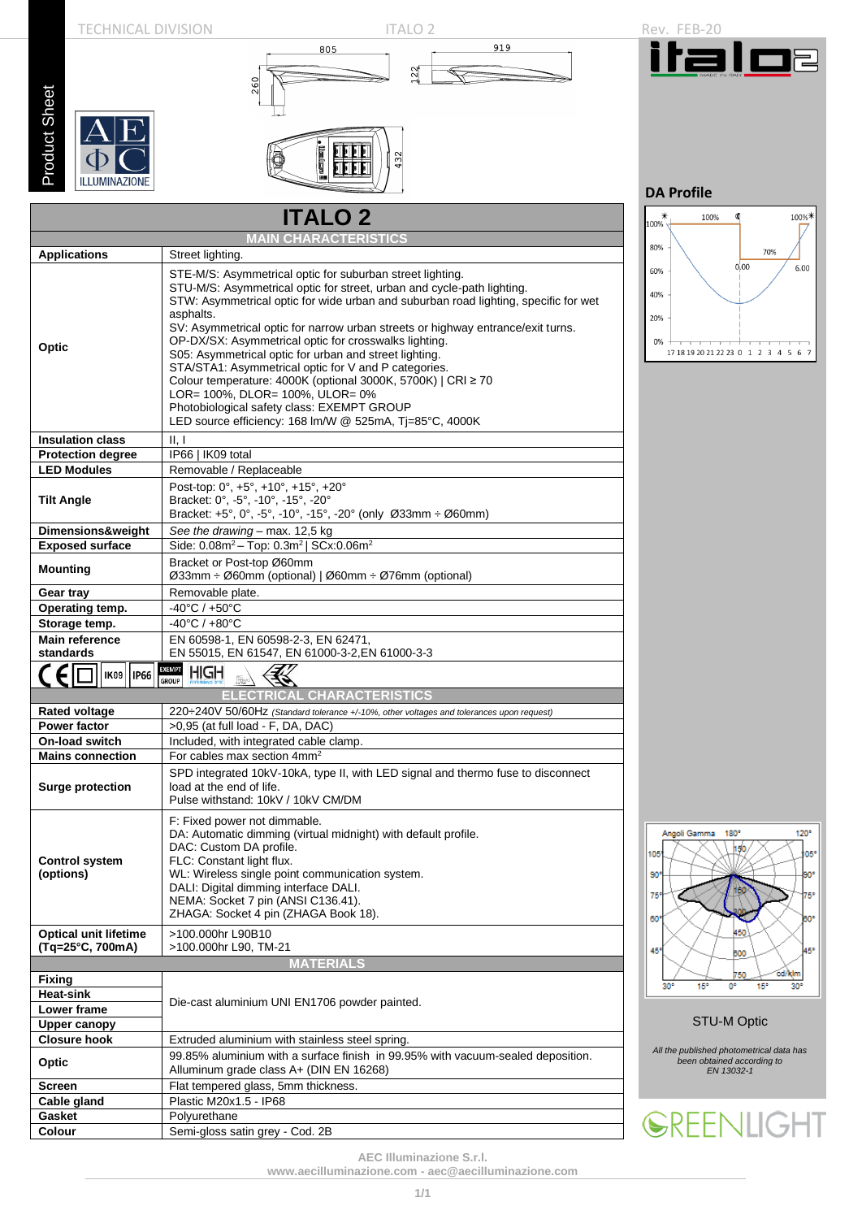

**AEC Illuminazione S.r.l.**

**[www.aecilluminazione.com](http://www.aecilluminazione.com/) - [aec@aecilluminazione.com](mailto:aec@aecilluminazione.com)**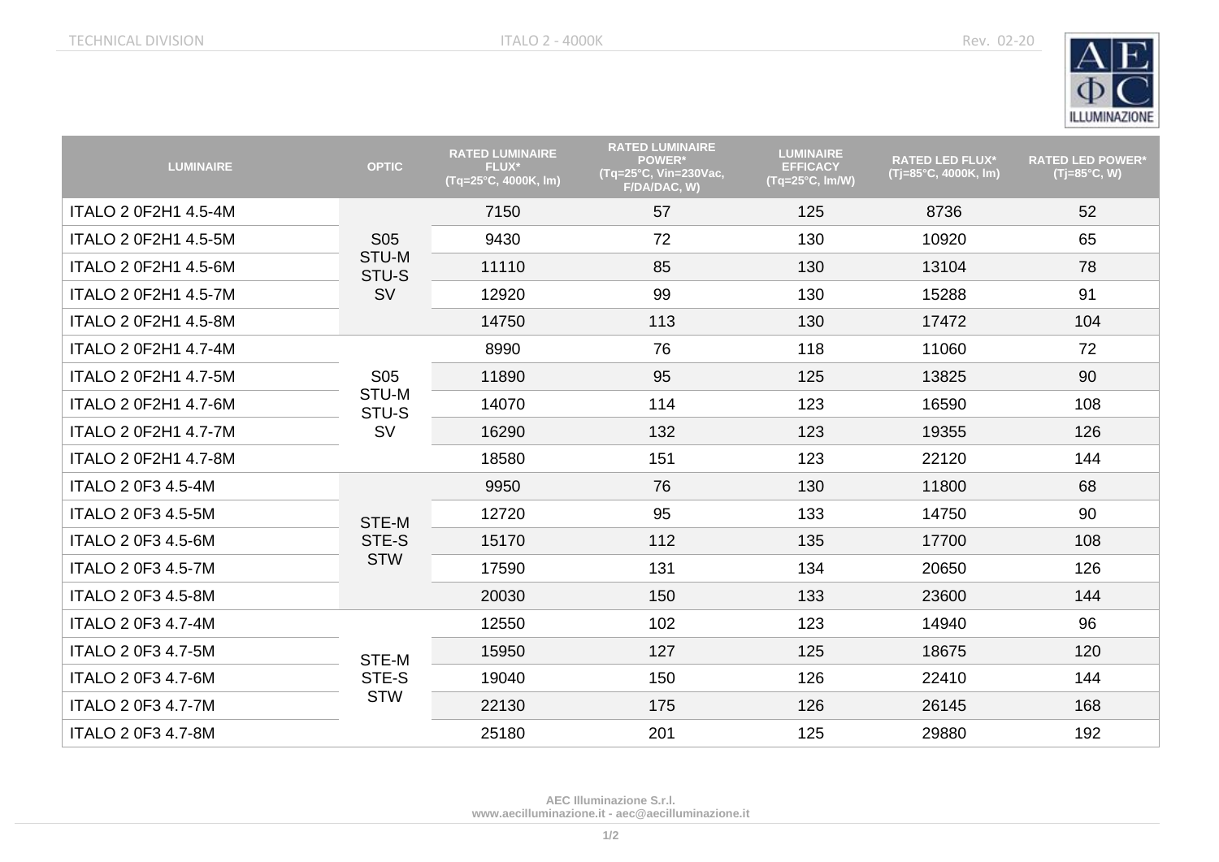

| <b>LUMINAIRE</b>            | <b>OPTIC</b>                              | <b>RATED LUMINAIRE</b><br>FLUX*<br>(Tq=25°C, 4000K, lm) | <b>RATED LUMINAIRE</b><br><b>POWER*</b><br>(Tq=25°C, Vin=230Vac,<br>F/DA/DAC, W) | <b>LUMINAIRE</b><br><b>EFFICACY</b><br>$(Tq=25^{\circ}C, Im/W)$ | <b>RATED LED FLUX*</b><br>(Tj=85°C, 4000K, lm) | <b>RATED LED POWER*</b><br>$(Tj=85^{\circ}C, W)$ |
|-----------------------------|-------------------------------------------|---------------------------------------------------------|----------------------------------------------------------------------------------|-----------------------------------------------------------------|------------------------------------------------|--------------------------------------------------|
| <b>ITALO 2 0F2H1 4.5-4M</b> | <b>S05</b><br>STU-M<br>STU-S<br><b>SV</b> | 7150                                                    | 57                                                                               | 125                                                             | 8736                                           | 52                                               |
| <b>ITALO 2 0F2H1 4.5-5M</b> |                                           | 9430                                                    | 72                                                                               | 130                                                             | 10920                                          | 65                                               |
| ITALO 2 0F2H1 4.5-6M        |                                           | 11110                                                   | 85                                                                               | 130                                                             | 13104                                          | 78                                               |
| <b>ITALO 2 0F2H1 4.5-7M</b> |                                           | 12920                                                   | 99                                                                               | 130                                                             | 15288                                          | 91                                               |
| <b>ITALO 2 0F2H1 4.5-8M</b> |                                           | 14750                                                   | 113                                                                              | 130                                                             | 17472                                          | 104                                              |
| <b>ITALO 2 0F2H1 4.7-4M</b> |                                           | 8990                                                    | 76                                                                               | 118                                                             | 11060                                          | 72                                               |
| ITALO 2 0F2H1 4.7-5M        | <b>S05</b>                                | 11890                                                   | 95                                                                               | 125                                                             | 13825                                          | 90                                               |
| ITALO 2 0F2H1 4.7-6M        | STU-M<br>STU-S                            | 14070                                                   | 114                                                                              | 123                                                             | 16590                                          | 108                                              |
| <b>ITALO 2 0F2H1 4.7-7M</b> | <b>SV</b>                                 | 16290                                                   | 132                                                                              | 123                                                             | 19355                                          | 126                                              |
| ITALO 2 0F2H1 4.7-8M        |                                           | 18580                                                   | 151                                                                              | 123                                                             | 22120                                          | 144                                              |
| ITALO 2 0F3 4.5-4M          | STE-M<br>STE-S<br><b>STW</b>              | 9950                                                    | 76                                                                               | 130                                                             | 11800                                          | 68                                               |
| <b>ITALO 2 0F3 4.5-5M</b>   |                                           | 12720                                                   | 95                                                                               | 133                                                             | 14750                                          | 90                                               |
| ITALO 2 0F3 4.5-6M          |                                           | 15170                                                   | 112                                                                              | 135                                                             | 17700                                          | 108                                              |
| <b>ITALO 2 0F3 4.5-7M</b>   |                                           | 17590                                                   | 131                                                                              | 134                                                             | 20650                                          | 126                                              |
| ITALO 2 0F3 4.5-8M          |                                           | 20030                                                   | 150                                                                              | 133                                                             | 23600                                          | 144                                              |
| ITALO 2 0F3 4.7-4M          | STE-M<br>STE-S<br><b>STW</b>              | 12550                                                   | 102                                                                              | 123                                                             | 14940                                          | 96                                               |
| <b>ITALO 2 0F3 4.7-5M</b>   |                                           | 15950                                                   | 127                                                                              | 125                                                             | 18675                                          | 120                                              |
| ITALO 2 0F3 4.7-6M          |                                           | 19040                                                   | 150                                                                              | 126                                                             | 22410                                          | 144                                              |
| <b>ITALO 2 0F3 4.7-7M</b>   |                                           | 22130                                                   | 175                                                                              | 126                                                             | 26145                                          | 168                                              |
| <b>ITALO 2 0F3 4.7-8M</b>   |                                           | 25180                                                   | 201                                                                              | 125                                                             | 29880                                          | 192                                              |

**AEC Illuminazione S.r.l. [www.aecilluminazione.it](http://www.aecilluminazione.it/) - [aec@aecilluminazione.it](mailto:aec@aecilluminazione.it)**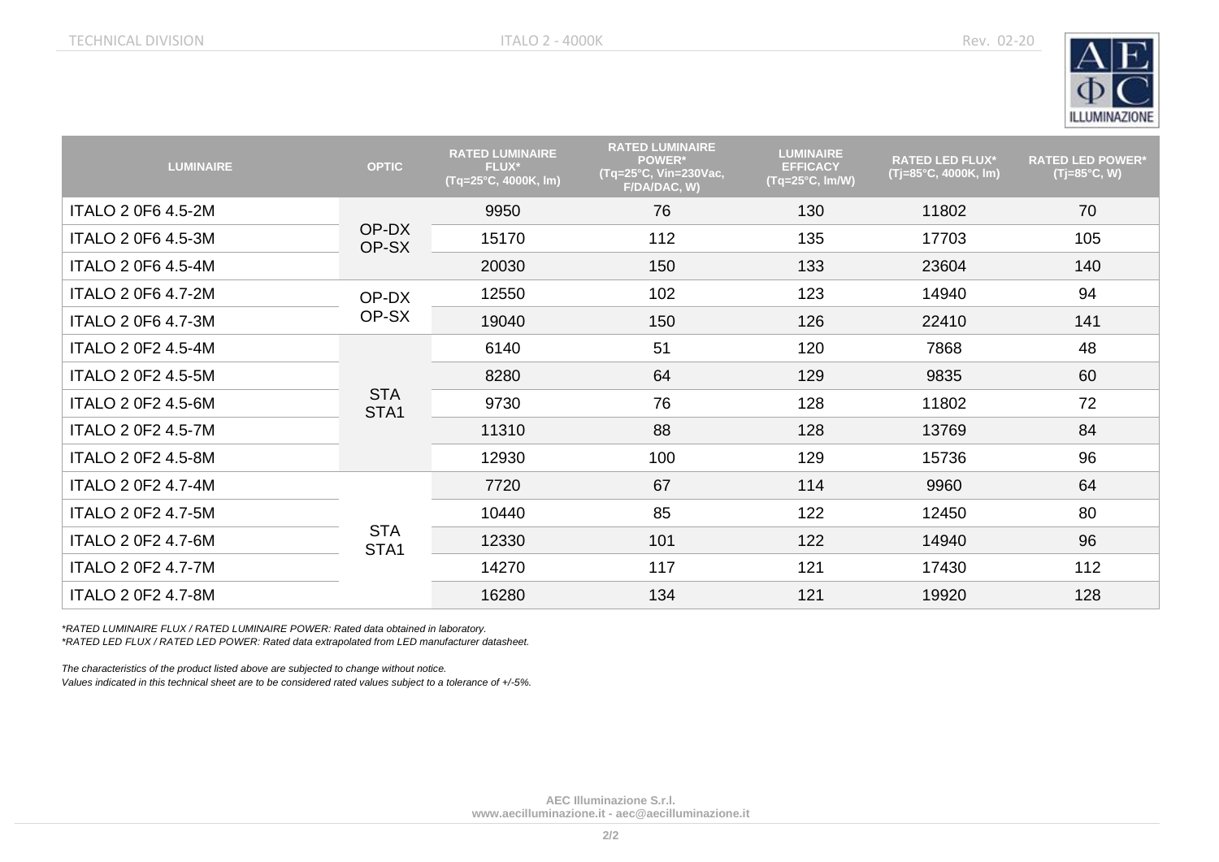

| <b>LUMINAIRE</b>          | <b>OPTIC</b>       | <b>RATED LUMINAIRE</b><br><b>FLUX*</b><br>(Tq=25°C, 4000K, lm) | <b>RATED LUMINAIRE</b><br><b>POWER*</b><br>(Tg=25°C, Vin=230Vac,<br>F/DA/DAC, W) | <b>LUMINAIRE</b><br><b>EFFICACY</b><br>$(Tq=25^{\circ}C, Im/W)$ | <b>RATED LED FLUX*</b><br>$(T=85^{\circ}C, 4000K, Im)$ | <b>RATED LED POWER*</b><br>$(Tj=85^{\circ}C, W)$ |
|---------------------------|--------------------|----------------------------------------------------------------|----------------------------------------------------------------------------------|-----------------------------------------------------------------|--------------------------------------------------------|--------------------------------------------------|
| <b>ITALO 2 0F6 4.5-2M</b> | OP-DX<br>OP-SX     | 9950                                                           | 76                                                                               | 130                                                             | 11802                                                  | 70                                               |
| <b>ITALO 2 0F6 4.5-3M</b> |                    | 15170                                                          | 112                                                                              | 135                                                             | 17703                                                  | 105                                              |
| ITALO 2 0F6 4.5-4M        |                    | 20030                                                          | 150                                                                              | 133                                                             | 23604                                                  | 140                                              |
| <b>ITALO 2 0F6 4.7-2M</b> | OP-DX<br>OP-SX     | 12550                                                          | 102                                                                              | 123                                                             | 14940                                                  | 94                                               |
| <b>ITALO 2 0F6 4.7-3M</b> |                    | 19040                                                          | 150                                                                              | 126                                                             | 22410                                                  | 141                                              |
| <b>ITALO 2 0F2 4.5-4M</b> | <b>STA</b><br>STA1 | 6140                                                           | 51                                                                               | 120                                                             | 7868                                                   | 48                                               |
| <b>ITALO 2 0F2 4.5-5M</b> |                    | 8280                                                           | 64                                                                               | 129                                                             | 9835                                                   | 60                                               |
| <b>ITALO 2 0F2 4.5-6M</b> |                    | 9730                                                           | 76                                                                               | 128                                                             | 11802                                                  | 72                                               |
| <b>ITALO 2 0F2 4.5-7M</b> |                    | 11310                                                          | 88                                                                               | 128                                                             | 13769                                                  | 84                                               |
| <b>ITALO 2 0F2 4.5-8M</b> |                    | 12930                                                          | 100                                                                              | 129                                                             | 15736                                                  | 96                                               |
| <b>ITALO 2 0F2 4.7-4M</b> | <b>STA</b><br>STA1 | 7720                                                           | 67                                                                               | 114                                                             | 9960                                                   | 64                                               |
| ITALO 2 0F2 4.7-5M        |                    | 10440                                                          | 85                                                                               | 122                                                             | 12450                                                  | 80                                               |
| <b>ITALO 2 0F2 4.7-6M</b> |                    | 12330                                                          | 101                                                                              | 122                                                             | 14940                                                  | 96                                               |
| <b>ITALO 2 0F2 4.7-7M</b> |                    | 14270                                                          | 117                                                                              | 121                                                             | 17430                                                  | 112                                              |
| <b>ITALO 2 0F2 4.7-8M</b> |                    | 16280                                                          | 134                                                                              | 121                                                             | 19920                                                  | 128                                              |

*\*RATED LUMINAIRE FLUX / RATED LUMINAIRE POWER: Rated data obtained in laboratory. \*RATED LED FLUX / RATED LED POWER: Rated data extrapolated from LED manufacturer datasheet.*

*The characteristics of the product listed above are subjected to change without notice.*

*Values indicated in this technical sheet are to be considered rated values subject to a tolerance of +/-5%.*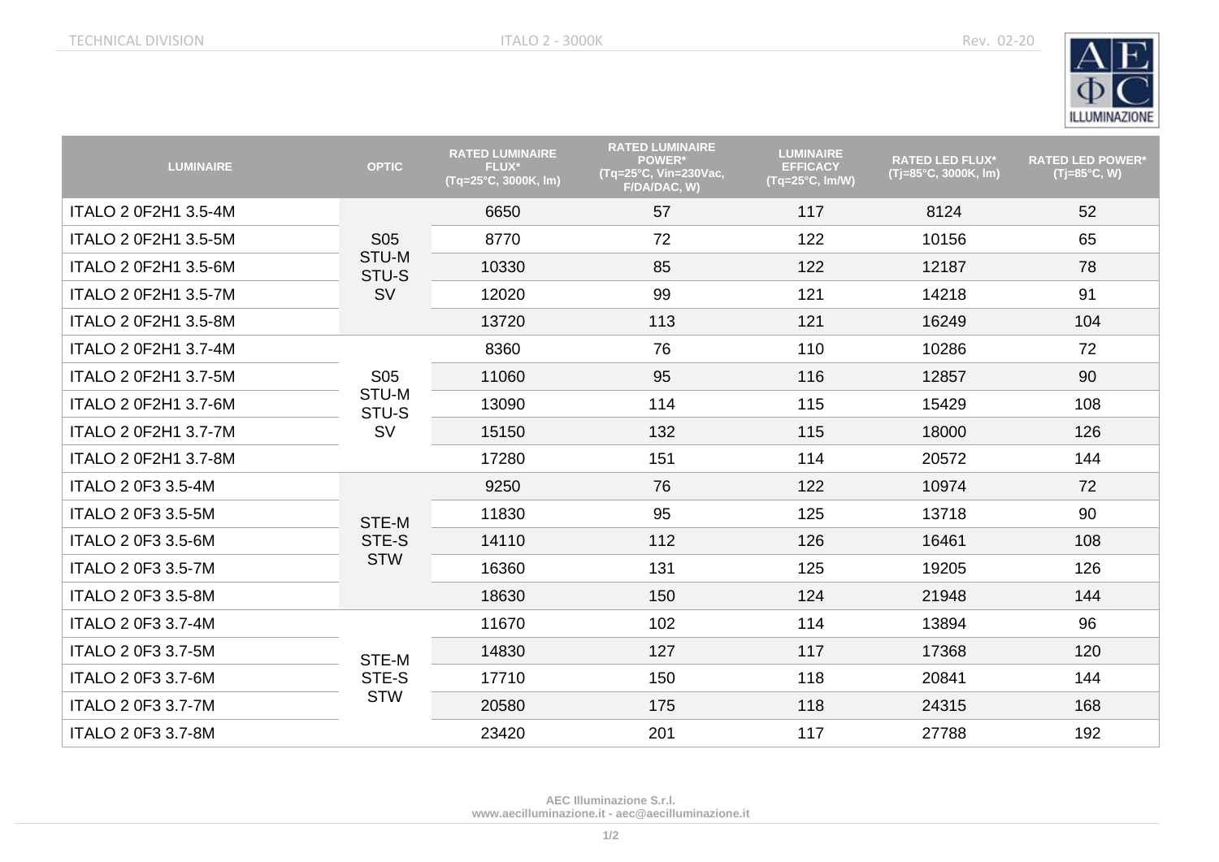

| <b>LUMINAIRE</b>            | <b>OPTIC</b>                 | <b>RATED LUMINAIRE</b><br><b>FLUX*</b><br>(Tq=25°C, 3000K, lm) | <b>RATED LUMINAIRE</b><br><b>POWER*</b><br>(Tq=25°C, Vin=230Vac,<br>F/DA/DAC, W) | <b>LUMINAIRE</b><br><b>EFFICACY</b><br>$(Tq=25^{\circ}C, Im/W)$ | <b>RATED LED FLUX*</b><br>(Tj=85°C, 3000K, lm) | <b>RATED LED POWER*</b><br>$(Tj=85^{\circ}C, W)$ |
|-----------------------------|------------------------------|----------------------------------------------------------------|----------------------------------------------------------------------------------|-----------------------------------------------------------------|------------------------------------------------|--------------------------------------------------|
| ITALO 2 0F2H1 3.5-4M        | <b>S05</b><br>STU-M<br>STU-S | 6650                                                           | 57                                                                               | 117                                                             | 8124                                           | 52                                               |
| ITALO 2 0F2H1 3.5-5M        |                              | 8770                                                           | 72                                                                               | 122                                                             | 10156                                          | 65                                               |
| ITALO 2 0F2H1 3.5-6M        |                              | 10330                                                          | 85                                                                               | 122                                                             | 12187                                          | 78                                               |
| ITALO 2 0F2H1 3.5-7M        | <b>SV</b>                    | 12020                                                          | 99                                                                               | 121                                                             | 14218                                          | 91                                               |
| ITALO 2 0F2H1 3.5-8M        |                              | 13720                                                          | 113                                                                              | 121                                                             | 16249                                          | 104                                              |
| ITALO 2 0F2H1 3.7-4M        |                              | 8360                                                           | 76                                                                               | 110                                                             | 10286                                          | 72                                               |
| ITALO 2 0F2H1 3.7-5M        | S <sub>05</sub>              | 11060                                                          | 95                                                                               | 116                                                             | 12857                                          | 90                                               |
| ITALO 2 0F2H1 3.7-6M        | STU-M<br>STU-S               | 13090                                                          | 114                                                                              | 115                                                             | 15429                                          | 108                                              |
| <b>ITALO 2 0F2H1 3.7-7M</b> | <b>SV</b>                    | 15150                                                          | 132                                                                              | 115                                                             | 18000                                          | 126                                              |
| ITALO 2 0F2H1 3.7-8M        |                              | 17280                                                          | 151                                                                              | 114                                                             | 20572                                          | 144                                              |
| <b>ITALO 2 0F3 3.5-4M</b>   | STE-M<br>STE-S<br><b>STW</b> | 9250                                                           | 76                                                                               | 122                                                             | 10974                                          | 72                                               |
| ITALO 2 0F3 3.5-5M          |                              | 11830                                                          | 95                                                                               | 125                                                             | 13718                                          | 90                                               |
| ITALO 2 0F3 3.5-6M          |                              | 14110                                                          | 112                                                                              | 126                                                             | 16461                                          | 108                                              |
| <b>ITALO 2 0F3 3.5-7M</b>   |                              | 16360                                                          | 131                                                                              | 125                                                             | 19205                                          | 126                                              |
| <b>ITALO 2 0F3 3.5-8M</b>   |                              | 18630                                                          | 150                                                                              | 124                                                             | 21948                                          | 144                                              |
| <b>ITALO 2 0F3 3.7-4M</b>   | STE-M<br>STE-S<br><b>STW</b> | 11670                                                          | 102                                                                              | 114                                                             | 13894                                          | 96                                               |
| ITALO 2 0F3 3.7-5M          |                              | 14830                                                          | 127                                                                              | 117                                                             | 17368                                          | 120                                              |
| ITALO 2 0F3 3.7-6M          |                              | 17710                                                          | 150                                                                              | 118                                                             | 20841                                          | 144                                              |
| <b>ITALO 2 0F3 3.7-7M</b>   |                              | 20580                                                          | 175                                                                              | 118                                                             | 24315                                          | 168                                              |
| ITALO 2 0F3 3.7-8M          |                              | 23420                                                          | 201                                                                              | 117                                                             | 27788                                          | 192                                              |

**AEC Illuminazione S.r.l. [www.aecilluminazione.it](http://www.aecilluminazione.it/) - [aec@aecilluminazione.it](mailto:aec@aecilluminazione.it)**